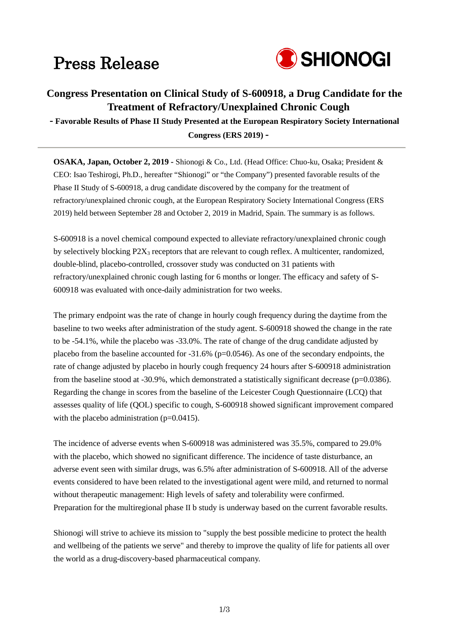# Press Release



### **Congress Presentation on Clinical Study of S-600918, a Drug Candidate for the Treatment of Refractory/Unexplained Chronic Cough**

**- Favorable Results of Phase II Study Presented at the European Respiratory Society International Congress (ERS 2019) -**

**OSAKA, Japan, October 2, 2019 -** Shionogi & Co., Ltd. (Head Office: Chuo-ku, Osaka; President & CEO: Isao Teshirogi, Ph.D., hereafter "Shionogi" or "the Company") presented favorable results of the Phase II Study of S-600918, a drug candidate discovered by the company for the treatment of refractory/unexplained chronic cough, at the European Respiratory Society International Congress (ERS 2019) held between September 28 and October 2, 2019 in Madrid, Spain. The summary is as follows.

S-600918 is a novel chemical compound expected to alleviate refractory/unexplained chronic cough by selectively blocking P2X3 receptors that are relevant to cough reflex. A multicenter, randomized, double-blind, placebo-controlled, crossover study was conducted on 31 patients with refractory/unexplained chronic cough lasting for 6 months or longer. The efficacy and safety of S-600918 was evaluated with once-daily administration for two weeks.

The primary endpoint was the rate of change in hourly cough frequency during the daytime from the baseline to two weeks after administration of the study agent. S-600918 showed the change in the rate to be -54.1%, while the placebo was -33.0%. The rate of change of the drug candidate adjusted by placebo from the baseline accounted for  $-31.6\%$  (p=0.0546). As one of the secondary endpoints, the rate of change adjusted by placebo in hourly cough frequency 24 hours after S-600918 administration from the baseline stood at -30.9%, which demonstrated a statistically significant decrease ( $p=0.0386$ ). Regarding the change in scores from the baseline of the Leicester Cough Questionnaire (LCQ) that assesses quality of life (QOL) specific to cough, S-600918 showed significant improvement compared with the placebo administration  $(p=0.0415)$ .

The incidence of adverse events when S-600918 was administered was 35.5%, compared to 29.0% with the placebo, which showed no significant difference. The incidence of taste disturbance, an adverse event seen with similar drugs, was 6.5% after administration of S-600918. All of the adverse events considered to have been related to the investigational agent were mild, and returned to normal without therapeutic management: High levels of safety and tolerability were confirmed. Preparation for the multiregional phase II b study is underway based on the current favorable results.

Shionogi will strive to achieve its mission to "supply the best possible medicine to protect the health and wellbeing of the patients we serve" and thereby to improve the quality of life for patients all over the world as a drug-discovery-based pharmaceutical company.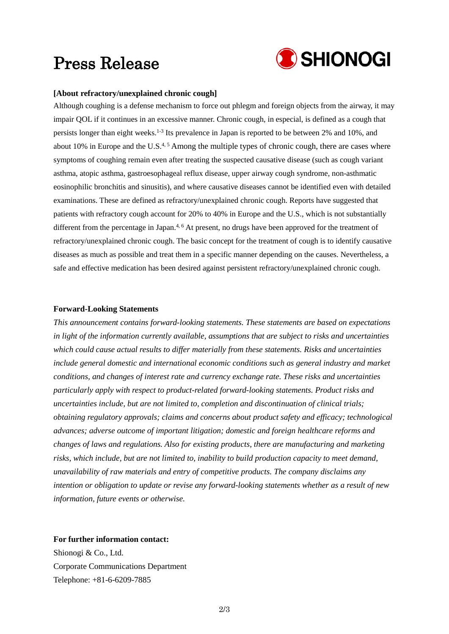## Press Release



#### **[About refractory/unexplained chronic cough]**

Although coughing is a defense mechanism to force out phlegm and foreign objects from the airway, it may impair QOL if it continues in an excessive manner. Chronic cough, in especial, is defined as a cough that persists longer than eight weeks.<sup>1-3</sup> Its prevalence in Japan is reported to be between 2% and 10%, and about 10% in Europe and the U.S.<sup>4, 5</sup> Among the multiple types of chronic cough, there are cases where symptoms of coughing remain even after treating the suspected causative disease (such as cough variant asthma, atopic asthma, gastroesophageal reflux disease, upper airway cough syndrome, non-asthmatic eosinophilic bronchitis and sinusitis), and where causative diseases cannot be identified even with detailed examinations. These are defined as refractory/unexplained chronic cough. Reports have suggested that patients with refractory cough account for 20% to 40% in Europe and the U.S., which is not substantially different from the percentage in Japan.<sup>4, 6</sup> At present, no drugs have been approved for the treatment of refractory/unexplained chronic cough. The basic concept for the treatment of cough is to identify causative diseases as much as possible and treat them in a specific manner depending on the causes. Nevertheless, a safe and effective medication has been desired against persistent refractory/unexplained chronic cough.

#### **Forward-Looking Statements**

*This announcement contains forward-looking statements. These statements are based on expectations in light of the information currently available, assumptions that are subject to risks and uncertainties which could cause actual results to differ materially from these statements. Risks and uncertainties include general domestic and international economic conditions such as general industry and market conditions, and changes of interest rate and currency exchange rate. These risks and uncertainties particularly apply with respect to product-related forward-looking statements. Product risks and uncertainties include, but are not limited to, completion and discontinuation of clinical trials; obtaining regulatory approvals; claims and concerns about product safety and efficacy; technological advances; adverse outcome of important litigation; domestic and foreign healthcare reforms and changes of laws and regulations. Also for existing products, there are manufacturing and marketing risks, which include, but are not limited to, inability to build production capacity to meet demand, unavailability of raw materials and entry of competitive products. The company disclaims any intention or obligation to update or revise any forward-looking statements whether as a result of new information, future events or otherwise.*

#### **For further information contact:**

Shionogi & Co., Ltd. Corporate Communications Department Telephone: +81-6-6209-7885